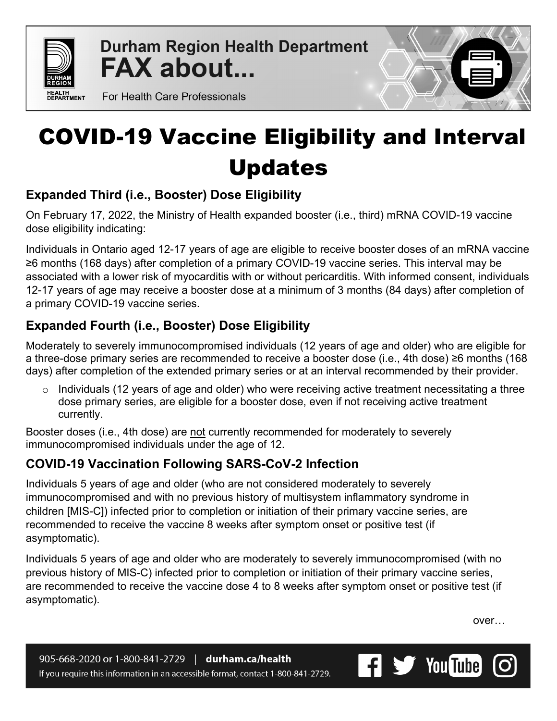

**Durham Region Health Department FAX about...** 

For Health Care Professionals

# COVID-19 Vaccine Eligibility and Interval Updates

# **Expanded Third (i.e., Booster) Dose Eligibility**

On February 17, 2022, the Ministry of Health expanded booster (i.e., third) mRNA COVID-19 vaccine dose eligibility indicating:

Individuals in Ontario aged 12-17 years of age are eligible to receive booster doses of an mRNA vaccine ≥6 months (168 days) after completion of a primary COVID-19 vaccine series. This interval may be associated with a lower risk of myocarditis with or without pericarditis. With informed consent, individuals 12-17 years of age may receive a booster dose at a minimum of 3 months (84 days) after completion of a primary COVID-19 vaccine series.

# **Expanded Fourth (i.e., Booster) Dose Eligibility**

Moderately to severely immunocompromised individuals (12 years of age and older) who are eligible for a three-dose primary series are recommended to receive a booster dose (i.e., 4th dose) ≥6 months (168 days) after completion of the extended primary series or at an interval recommended by their provider.

 $\circ$  Individuals (12 years of age and older) who were receiving active treatment necessitating a three dose primary series, are eligible for a booster dose, even if not receiving active treatment currently.

Booster doses (i.e., 4th dose) are not currently recommended for moderately to severely immunocompromised individuals under the age of 12.

### **COVID-19 Vaccination Following SARS-CoV-2 Infection**

Individuals 5 years of age and older (who are not considered moderately to severely immunocompromised and with no previous history of multisystem inflammatory syndrome in children [MIS-C]) infected prior to completion or initiation of their primary vaccine series, are recommended to receive the vaccine 8 weeks after symptom onset or positive test (if asymptomatic).

Individuals 5 years of age and older who are moderately to severely immunocompromised (with no previous history of MIS-C) infected prior to completion or initiation of their primary vaccine series, are recommended to receive the vaccine dose 4 to 8 weeks after symptom onset or positive test (if asymptomatic).

over…